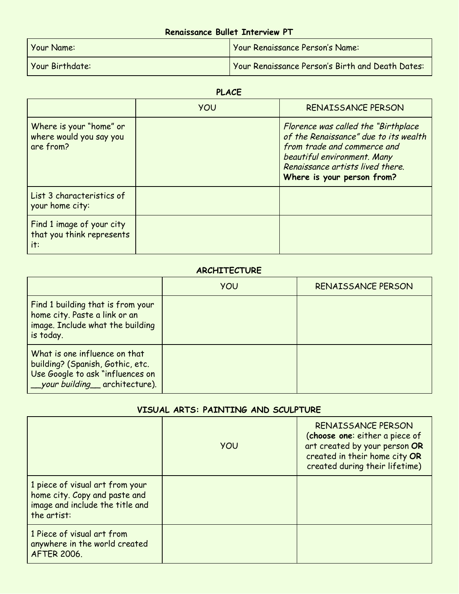# **Renaissance Bullet Interview PT**

| Your Name:      | Your Renaissance Person's Name:                  |
|-----------------|--------------------------------------------------|
| Your Birthdate: | Your Renaissance Person's Birth and Death Dates: |

## **PLACE**

|                                                                 | YOU | RENAISSANCE PERSON                                                                                                                                                                                            |
|-----------------------------------------------------------------|-----|---------------------------------------------------------------------------------------------------------------------------------------------------------------------------------------------------------------|
| Where is your "home" or<br>where would you say you<br>are from? |     | Florence was called the "Birthplace"<br>of the Renaissance" due to its wealth<br>from trade and commerce and<br>beautiful environment. Many<br>Renaissance artists lived there.<br>Where is your person from? |
| List 3 characteristics of<br>your home city:                    |     |                                                                                                                                                                                                               |
| Find 1 image of your city<br>that you think represents<br>it:   |     |                                                                                                                                                                                                               |

#### **ARCHITECTURE**

|                                                                                                                                           | <b>YOU</b> | RENAISSANCE PERSON |
|-------------------------------------------------------------------------------------------------------------------------------------------|------------|--------------------|
| Find 1 building that is from your<br>home city. Paste a link or an<br>image. Include what the building<br>is today.                       |            |                    |
| What is one influence on that<br>building? (Spanish, Gothic, etc.<br>Use Google to ask "influences on<br>__your building__ architecture). |            |                    |

## **VISUAL ARTS: PAINTING AND SCULPTURE**

|                                                                                                                    | <b>YOU</b> | RENAISSANCE PERSON<br>(choose one: either a piece of<br>art created by your person OR<br>created in their home city OR<br>created during their lifetime) |
|--------------------------------------------------------------------------------------------------------------------|------------|----------------------------------------------------------------------------------------------------------------------------------------------------------|
| 1 piece of visual art from your<br>home city. Copy and paste and<br>image and include the title and<br>the artist: |            |                                                                                                                                                          |
| 1 Piece of visual art from<br>anywhere in the world created<br><b>AFTER 2006.</b>                                  |            |                                                                                                                                                          |